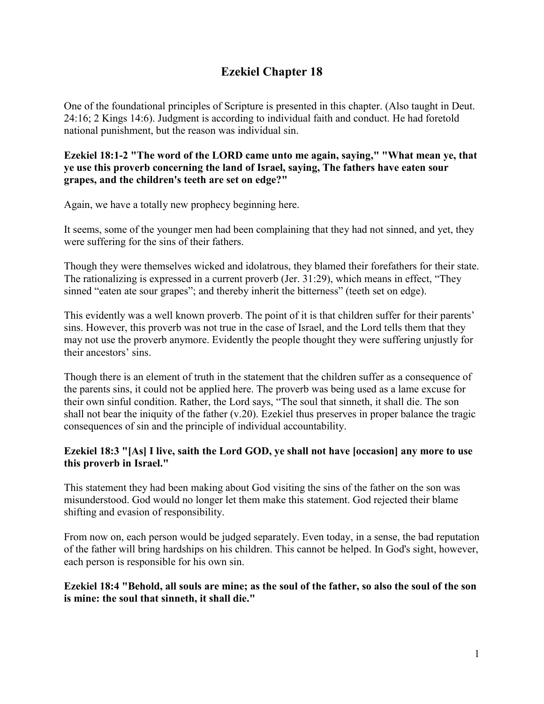# **Ezekiel Chapter 18**

One of the foundational principles of Scripture is presented in this chapter. (Also taught in Deut. 24:16; 2 Kings 14:6). Judgment is according to individual faith and conduct. He had foretold national punishment, but the reason was individual sin.

**Ezekiel 18:1-2 "The word of the LORD came unto me again, saying," "What mean ye, that ye use this proverb concerning the land of Israel, saying, The fathers have eaten sour grapes, and the children's teeth are set on edge?"**

Again, we have a totally new prophecy beginning here.

It seems, some of the younger men had been complaining that they had not sinned, and yet, they were suffering for the sins of their fathers.

Though they were themselves wicked and idolatrous, they blamed their forefathers for their state. The rationalizing is expressed in a current proverb (Jer. 31:29), which means in effect, "They sinned "eaten ate sour grapes"; and thereby inherit the bitterness" (teeth set on edge).

This evidently was a well known proverb. The point of it is that children suffer for their parents' sins. However, this proverb was not true in the case of Israel, and the Lord tells them that they may not use the proverb anymore. Evidently the people thought they were suffering unjustly for their ancestors' sins.

Though there is an element of truth in the statement that the children suffer as a consequence of the parents sins, it could not be applied here. The proverb was being used as a lame excuse for their own sinful condition. Rather, the Lord says, "The soul that sinneth, it shall die. The son shall not bear the iniquity of the father (v.20). Ezekiel thus preserves in proper balance the tragic consequences of sin and the principle of individual accountability.

#### **Ezekiel 18:3 "[As] I live, saith the Lord GOD, ye shall not have [occasion] any more to use this proverb in Israel."**

This statement they had been making about God visiting the sins of the father on the son was misunderstood. God would no longer let them make this statement. God rejected their blame shifting and evasion of responsibility.

From now on, each person would be judged separately. Even today, in a sense, the bad reputation of the father will bring hardships on his children. This cannot be helped. In God's sight, however, each person is responsible for his own sin.

#### **Ezekiel 18:4 "Behold, all souls are mine; as the soul of the father, so also the soul of the son is mine: the soul that sinneth, it shall die."**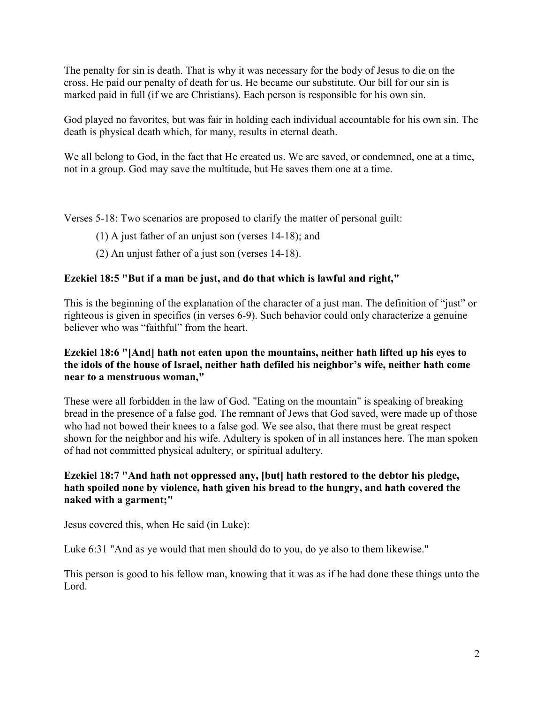The penalty for sin is death. That is why it was necessary for the body of Jesus to die on the cross. He paid our penalty of death for us. He became our substitute. Our bill for our sin is marked paid in full (if we are Christians). Each person is responsible for his own sin.

God played no favorites, but was fair in holding each individual accountable for his own sin. The death is physical death which, for many, results in eternal death.

We all belong to God, in the fact that He created us. We are saved, or condemned, one at a time, not in a group. God may save the multitude, but He saves them one at a time.

Verses 5-18: Two scenarios are proposed to clarify the matter of personal guilt:

- (1) A just father of an unjust son (verses 14-18); and
- (2) An unjust father of a just son (verses 14-18).

# **Ezekiel 18:5 "But if a man be just, and do that which is lawful and right,"**

This is the beginning of the explanation of the character of a just man. The definition of "just" or righteous is given in specifics (in verses 6-9). Such behavior could only characterize a genuine believer who was "faithful" from the heart.

#### **Ezekiel 18:6 "[And] hath not eaten upon the mountains, neither hath lifted up his eyes to the idols of the house of Israel, neither hath defiled his neighbor's wife, neither hath come near to a menstruous woman,"**

These were all forbidden in the law of God. "Eating on the mountain" is speaking of breaking bread in the presence of a false god. The remnant of Jews that God saved, were made up of those who had not bowed their knees to a false god. We see also, that there must be great respect shown for the neighbor and his wife. Adultery is spoken of in all instances here. The man spoken of had not committed physical adultery, or spiritual adultery.

# **Ezekiel 18:7 "And hath not oppressed any, [but] hath restored to the debtor his pledge, hath spoiled none by violence, hath given his bread to the hungry, and hath covered the naked with a garment;"**

Jesus covered this, when He said (in Luke):

Luke 6:31 "And as ye would that men should do to you, do ye also to them likewise."

This person is good to his fellow man, knowing that it was as if he had done these things unto the Lord.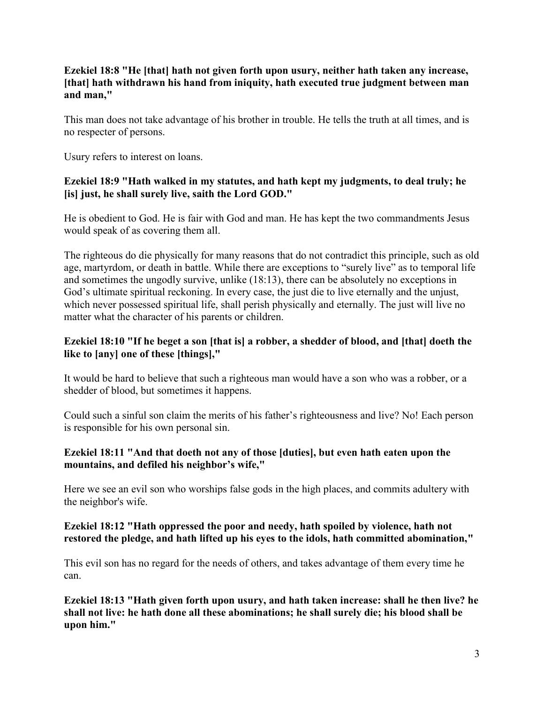## **Ezekiel 18:8 "He [that] hath not given forth upon usury, neither hath taken any increase, [that] hath withdrawn his hand from iniquity, hath executed true judgment between man and man,"**

This man does not take advantage of his brother in trouble. He tells the truth at all times, and is no respecter of persons.

Usury refers to interest on loans.

# **Ezekiel 18:9 "Hath walked in my statutes, and hath kept my judgments, to deal truly; he [is] just, he shall surely live, saith the Lord GOD."**

He is obedient to God. He is fair with God and man. He has kept the two commandments Jesus would speak of as covering them all.

The righteous do die physically for many reasons that do not contradict this principle, such as old age, martyrdom, or death in battle. While there are exceptions to "surely live" as to temporal life and sometimes the ungodly survive, unlike (18:13), there can be absolutely no exceptions in God's ultimate spiritual reckoning. In every case, the just die to live eternally and the unjust, which never possessed spiritual life, shall perish physically and eternally. The just will live no matter what the character of his parents or children.

# **Ezekiel 18:10 "If he beget a son [that is] a robber, a shedder of blood, and [that] doeth the like to [any] one of these [things],"**

It would be hard to believe that such a righteous man would have a son who was a robber, or a shedder of blood, but sometimes it happens.

Could such a sinful son claim the merits of his father's righteousness and live? No! Each person is responsible for his own personal sin.

# **Ezekiel 18:11 "And that doeth not any of those [duties], but even hath eaten upon the mountains, and defiled his neighbor's wife,"**

Here we see an evil son who worships false gods in the high places, and commits adultery with the neighbor's wife.

# **Ezekiel 18:12 "Hath oppressed the poor and needy, hath spoiled by violence, hath not restored the pledge, and hath lifted up his eyes to the idols, hath committed abomination,"**

This evil son has no regard for the needs of others, and takes advantage of them every time he can.

**Ezekiel 18:13 "Hath given forth upon usury, and hath taken increase: shall he then live? he shall not live: he hath done all these abominations; he shall surely die; his blood shall be upon him."**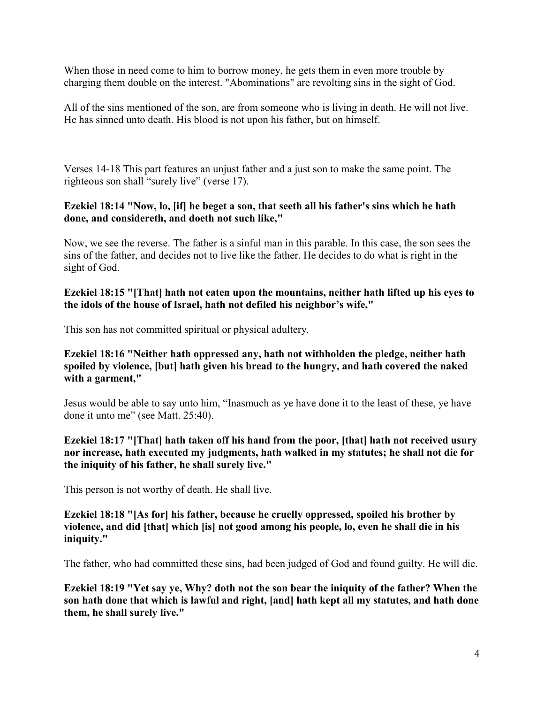When those in need come to him to borrow money, he gets them in even more trouble by charging them double on the interest. "Abominations" are revolting sins in the sight of God.

All of the sins mentioned of the son, are from someone who is living in death. He will not live. He has sinned unto death. His blood is not upon his father, but on himself.

Verses 14-18 This part features an unjust father and a just son to make the same point. The righteous son shall "surely live" (verse 17).

#### **Ezekiel 18:14 "Now, lo, [if] he beget a son, that seeth all his father's sins which he hath done, and considereth, and doeth not such like,"**

Now, we see the reverse. The father is a sinful man in this parable. In this case, the son sees the sins of the father, and decides not to live like the father. He decides to do what is right in the sight of God.

#### **Ezekiel 18:15 "[That] hath not eaten upon the mountains, neither hath lifted up his eyes to the idols of the house of Israel, hath not defiled his neighbor's wife,"**

This son has not committed spiritual or physical adultery.

#### **Ezekiel 18:16 "Neither hath oppressed any, hath not withholden the pledge, neither hath spoiled by violence, [but] hath given his bread to the hungry, and hath covered the naked with a garment,"**

Jesus would be able to say unto him, "Inasmuch as ye have done it to the least of these, ye have done it unto me" (see Matt. 25:40).

**Ezekiel 18:17 "[That] hath taken off his hand from the poor, [that] hath not received usury nor increase, hath executed my judgments, hath walked in my statutes; he shall not die for the iniquity of his father, he shall surely live."**

This person is not worthy of death. He shall live.

#### **Ezekiel 18:18 "[As for] his father, because he cruelly oppressed, spoiled his brother by violence, and did [that] which [is] not good among his people, lo, even he shall die in his iniquity."**

The father, who had committed these sins, had been judged of God and found guilty. He will die.

**Ezekiel 18:19 "Yet say ye, Why? doth not the son bear the iniquity of the father? When the son hath done that which is lawful and right, [and] hath kept all my statutes, and hath done them, he shall surely live."**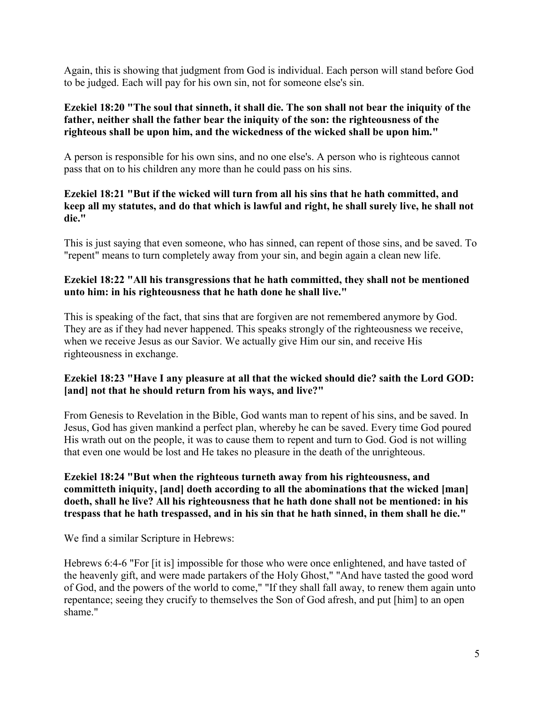Again, this is showing that judgment from God is individual. Each person will stand before God to be judged. Each will pay for his own sin, not for someone else's sin.

## **Ezekiel 18:20 "The soul that sinneth, it shall die. The son shall not bear the iniquity of the father, neither shall the father bear the iniquity of the son: the righteousness of the righteous shall be upon him, and the wickedness of the wicked shall be upon him."**

A person is responsible for his own sins, and no one else's. A person who is righteous cannot pass that on to his children any more than he could pass on his sins.

# **Ezekiel 18:21 "But if the wicked will turn from all his sins that he hath committed, and keep all my statutes, and do that which is lawful and right, he shall surely live, he shall not die."**

This is just saying that even someone, who has sinned, can repent of those sins, and be saved. To "repent" means to turn completely away from your sin, and begin again a clean new life.

#### **Ezekiel 18:22 "All his transgressions that he hath committed, they shall not be mentioned unto him: in his righteousness that he hath done he shall live."**

This is speaking of the fact, that sins that are forgiven are not remembered anymore by God. They are as if they had never happened. This speaks strongly of the righteousness we receive, when we receive Jesus as our Savior. We actually give Him our sin, and receive His righteousness in exchange.

# **Ezekiel 18:23 "Have I any pleasure at all that the wicked should die? saith the Lord GOD: [and] not that he should return from his ways, and live?"**

From Genesis to Revelation in the Bible, God wants man to repent of his sins, and be saved. In Jesus, God has given mankind a perfect plan, whereby he can be saved. Every time God poured His wrath out on the people, it was to cause them to repent and turn to God. God is not willing that even one would be lost and He takes no pleasure in the death of the unrighteous.

#### **Ezekiel 18:24 "But when the righteous turneth away from his righteousness, and committeth iniquity, [and] doeth according to all the abominations that the wicked [man] doeth, shall he live? All his righteousness that he hath done shall not be mentioned: in his trespass that he hath trespassed, and in his sin that he hath sinned, in them shall he die."**

We find a similar Scripture in Hebrews:

Hebrews 6:4-6 "For [it is] impossible for those who were once enlightened, and have tasted of the heavenly gift, and were made partakers of the Holy Ghost," "And have tasted the good word of God, and the powers of the world to come," "If they shall fall away, to renew them again unto repentance; seeing they crucify to themselves the Son of God afresh, and put [him] to an open shame."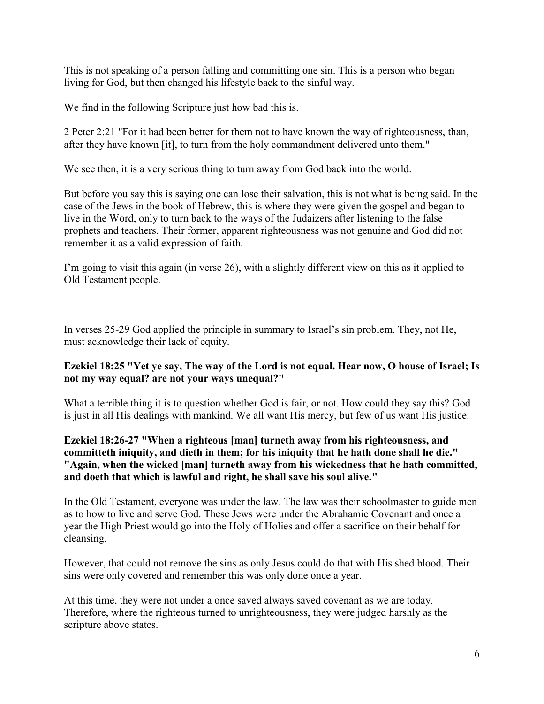This is not speaking of a person falling and committing one sin. This is a person who began living for God, but then changed his lifestyle back to the sinful way.

We find in the following Scripture just how bad this is.

2 Peter 2:21 "For it had been better for them not to have known the way of righteousness, than, after they have known [it], to turn from the holy commandment delivered unto them."

We see then, it is a very serious thing to turn away from God back into the world.

But before you say this is saying one can lose their salvation, this is not what is being said. In the case of the Jews in the book of Hebrew, this is where they were given the gospel and began to live in the Word, only to turn back to the ways of the Judaizers after listening to the false prophets and teachers. Their former, apparent righteousness was not genuine and God did not remember it as a valid expression of faith.

I'm going to visit this again (in verse 26), with a slightly different view on this as it applied to Old Testament people.

In verses 25-29 God applied the principle in summary to Israel's sin problem. They, not He, must acknowledge their lack of equity.

#### **Ezekiel 18:25 "Yet ye say, The way of the Lord is not equal. Hear now, O house of Israel; Is not my way equal? are not your ways unequal?"**

What a terrible thing it is to question whether God is fair, or not. How could they say this? God is just in all His dealings with mankind. We all want His mercy, but few of us want His justice.

# **Ezekiel 18:26-27 "When a righteous [man] turneth away from his righteousness, and committeth iniquity, and dieth in them; for his iniquity that he hath done shall he die." "Again, when the wicked [man] turneth away from his wickedness that he hath committed, and doeth that which is lawful and right, he shall save his soul alive."**

In the Old Testament, everyone was under the law. The law was their schoolmaster to guide men as to how to live and serve God. These Jews were under the Abrahamic Covenant and once a year the High Priest would go into the Holy of Holies and offer a sacrifice on their behalf for cleansing.

However, that could not remove the sins as only Jesus could do that with His shed blood. Their sins were only covered and remember this was only done once a year.

At this time, they were not under a once saved always saved covenant as we are today. Therefore, where the righteous turned to unrighteousness, they were judged harshly as the scripture above states.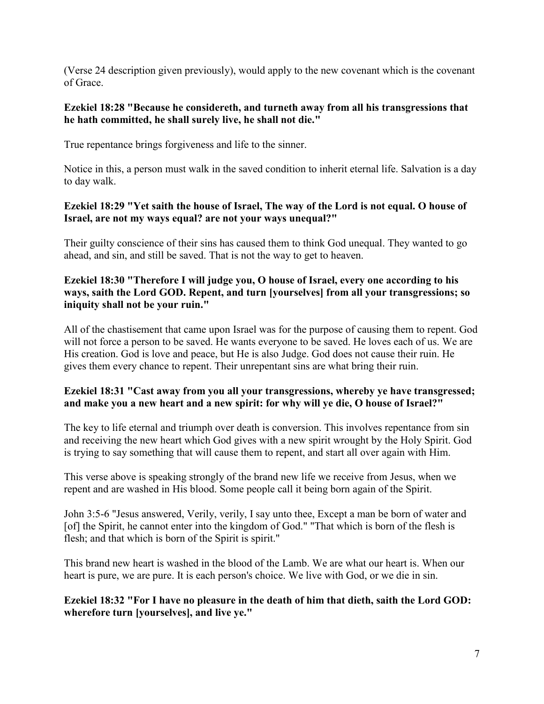(Verse 24 description given previously), would apply to the new covenant which is the covenant of Grace.

#### **Ezekiel 18:28 "Because he considereth, and turneth away from all his transgressions that he hath committed, he shall surely live, he shall not die."**

True repentance brings forgiveness and life to the sinner.

Notice in this, a person must walk in the saved condition to inherit eternal life. Salvation is a day to day walk.

# **Ezekiel 18:29 "Yet saith the house of Israel, The way of the Lord is not equal. O house of Israel, are not my ways equal? are not your ways unequal?"**

Their guilty conscience of their sins has caused them to think God unequal. They wanted to go ahead, and sin, and still be saved. That is not the way to get to heaven.

## **Ezekiel 18:30 "Therefore I will judge you, O house of Israel, every one according to his ways, saith the Lord GOD. Repent, and turn [yourselves] from all your transgressions; so iniquity shall not be your ruin."**

All of the chastisement that came upon Israel was for the purpose of causing them to repent. God will not force a person to be saved. He wants everyone to be saved. He loves each of us. We are His creation. God is love and peace, but He is also Judge. God does not cause their ruin. He gives them every chance to repent. Their unrepentant sins are what bring their ruin.

# **Ezekiel 18:31 "Cast away from you all your transgressions, whereby ye have transgressed; and make you a new heart and a new spirit: for why will ye die, O house of Israel?"**

The key to life eternal and triumph over death is conversion. This involves repentance from sin and receiving the new heart which God gives with a new spirit wrought by the Holy Spirit. God is trying to say something that will cause them to repent, and start all over again with Him.

This verse above is speaking strongly of the brand new life we receive from Jesus, when we repent and are washed in His blood. Some people call it being born again of the Spirit.

John 3:5-6 "Jesus answered, Verily, verily, I say unto thee, Except a man be born of water and [of] the Spirit, he cannot enter into the kingdom of God." "That which is born of the flesh is flesh; and that which is born of the Spirit is spirit."

This brand new heart is washed in the blood of the Lamb. We are what our heart is. When our heart is pure, we are pure. It is each person's choice. We live with God, or we die in sin.

# **Ezekiel 18:32 "For I have no pleasure in the death of him that dieth, saith the Lord GOD: wherefore turn [yourselves], and live ye."**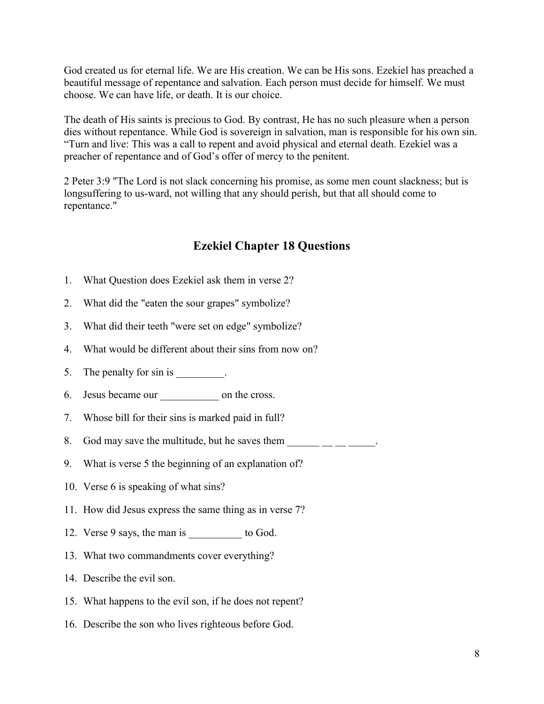God created us for eternal life. We are His creation. We can be His sons. Ezekiel has preached a beautiful message of repentance and salvation. Each person must decide for himself. We must choose. We can have life, or death. It is our choice.

The death of His saints is precious to God. By contrast, He has no such pleasure when a person dies without repentance. While God is sovereign in salvation, man is responsible for his own sin. "Turn and live: This was a call to repent and avoid physical and eternal death. Ezekiel was a preacher of repentance and of God's offer of mercy to the penitent.

2 Peter 3:9 "The Lord is not slack concerning his promise, as some men count slackness; but is longsuffering to us-ward, not willing that any should perish, but that all should come to repentance."

# **Ezekiel Chapter 18 Questions**

- 1. What Question does Ezekiel ask them in verse 2?
- 2. What did the "eaten the sour grapes" symbolize?
- 3. What did their teeth "were set on edge" symbolize?
- 4. What would be different about their sins from now on?
- 5. The penalty for sin is
- 6. Jesus became our \_\_\_\_\_\_\_\_\_\_\_ on the cross.
- 7. Whose bill for their sins is marked paid in full?
- 8. God may save the multitude, but he saves them  $\blacksquare$
- 9. What is verse 5 the beginning of an explanation of?
- 10. Verse 6 is speaking of what sins?
- 11. How did Jesus express the same thing as in verse 7?
- 12. Verse 9 says, the man is \_\_\_\_\_\_\_\_\_\_ to God.
- 13. What two commandments cover everything?
- 14. Describe the evil son.
- 15. What happens to the evil son, if he does not repent?
- 16. Describe the son who lives righteous before God.